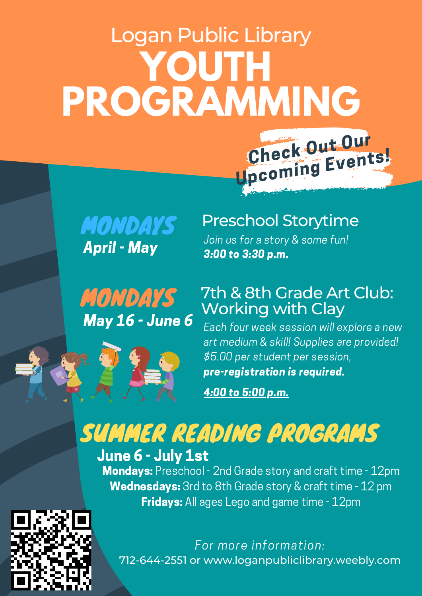# **YOUTH PROGRAMMING** Check Out Our Logan Public Library



MONDAYS May 16 - June 6

### Preschool Storytime

Upcoming Events!

Join us for a story & some fun! 3:00 to 3:30 p.m.

### 7th & 8th Grade Art Club: Working with Clay

Each four week session will explore a new art medium & skill! Supplies are provided! \$5.00 per student per session, pre-registration is required.

4:00 to 5:00 p.m.

## SUMMER READING PROGRAMS June 6 - July 1st

Mondays: Preschool - 2nd Grade story and craft time - 12pm Wednesdays: 3rd to 8th Grade story & craft time - 12 pm Fridays: All ages Lego and game time - 12pm



712-644-2551 or www.loganpubliclibrary.weebly.com For more information: